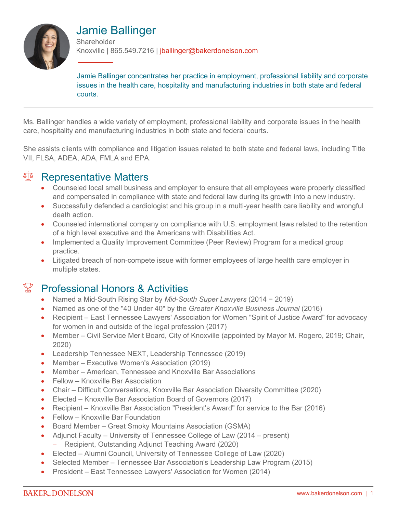

# Jamie Ballinger

**Shareholder** Knoxville | 865.549.7216 | jballinger@bakerdonelson.com

Jamie Ballinger concentrates her practice in employment, professional liability and corporate issues in the health care, hospitality and manufacturing industries in both state and federal courts.

Ms. Ballinger handles a wide variety of employment, professional liability and corporate issues in the health care, hospitality and manufacturing industries in both state and federal courts.

She assists clients with compliance and litigation issues related to both state and federal laws, including Title VII, FLSA, ADEA, ADA, FMLA and EPA.

## **A<sup>TA</sup>** Representative Matters

- Counseled local small business and employer to ensure that all employees were properly classified and compensated in compliance with state and federal law during its growth into a new industry.
- Successfully defended a cardiologist and his group in a multi-year health care liability and wrongful death action.
- Counseled international company on compliance with U.S. employment laws related to the retention of a high level executive and the Americans with Disabilities Act.
- Implemented a Quality Improvement Committee (Peer Review) Program for a medical group practice.
- Litigated breach of non-compete issue with former employees of large health care employer in multiple states.

# $\mathbb{F}$  Professional Honors & Activities

- Named a Mid-South Rising Star by *Mid-South Super Lawyers* (2014 − 2019)
- Named as one of the "40 Under 40" by the *Greater Knoxville Business Journal* (2016)
- Recipient East Tennessee Lawyers' Association for Women "Spirit of Justice Award" for advocacy for women in and outside of the legal profession (2017)
- Member Civil Service Merit Board, City of Knoxville (appointed by Mayor M. Rogero, 2019; Chair, 2020)
- Leadership Tennessee NEXT, Leadership Tennessee (2019)
- Member Executive Women's Association (2019)
- Member American, Tennessee and Knoxville Bar Associations
- Fellow Knoxville Bar Association
- Chair Difficult Conversations, Knoxville Bar Association Diversity Committee (2020)
- Elected Knoxville Bar Association Board of Governors (2017)
- Recipient Knoxville Bar Association "President's Award" for service to the Bar (2016)
- Fellow Knoxville Bar Foundation
- Board Member Great Smoky Mountains Association (GSMA)
- Adjunct Faculty University of Tennessee College of Law (2014 present) - Recipient, Outstanding Adjunct Teaching Award (2020)
- Elected Alumni Council, University of Tennessee College of Law (2020)
- Selected Member Tennessee Bar Association's Leadership Law Program (2015)
- President East Tennessee Lawyers' Association for Women (2014)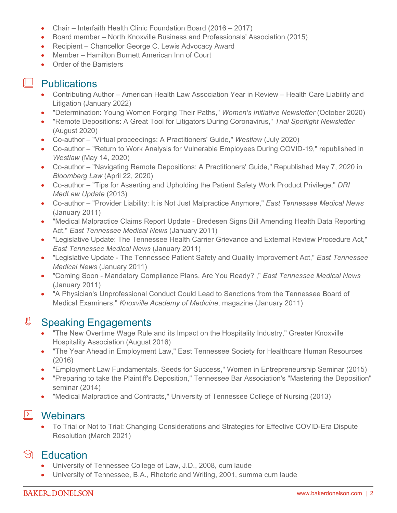- Chair Interfaith Health Clinic Foundation Board (2016 2017)
- Board member North Knoxville Business and Professionals' Association (2015)
- Recipient Chancellor George C. Lewis Advocacy Award
- Member Hamilton Burnett American Inn of Court
- Order of the Barristers

## **Publications**

- Contributing Author American Health Law Association Year in Review Health Care Liability and Litigation (January 2022)
- "Determination: Young Women Forging Their Paths," *Women's Initiative Newsletter* (October 2020)
- "Remote Depositions: A Great Tool for Litigators During Coronavirus," *Trial Spotlight Newsletter* (August 2020)
- Co-author "Virtual proceedings: A Practitioners' Guide," *Westlaw* (July 2020)
- Co-author "Return to Work Analysis for Vulnerable Employees During COVID-19," republished in *Westlaw* (May 14, 2020)
- Co-author "Navigating Remote Depositions: A Practitioners' Guide," Republished May 7, 2020 in *Bloomberg Law* (April 22, 2020)
- Co-author "Tips for Asserting and Upholding the Patient Safety Work Product Privilege," *DRI MedLaw Update* (2013)
- Co-author "Provider Liability: It is Not Just Malpractice Anymore," *East Tennessee Medical News* (January 2011)
- "Medical Malpractice Claims Report Update Bredesen Signs Bill Amending Health Data Reporting Act," *East Tennessee Medical News* (January 2011)
- "Legislative Update: The Tennessee Health Carrier Grievance and External Review Procedure Act," *East Tennessee Medical News* (January 2011)
- "Legislative Update The Tennessee Patient Safety and Quality Improvement Act," *East Tennessee Medical News* (January 2011)
- "Coming Soon Mandatory Compliance Plans. Are You Ready? ," *East Tennessee Medical News*  (January 2011)
- "A Physician's Unprofessional Conduct Could Lead to Sanctions from the Tennessee Board of Medical Examiners," *Knoxville Academy of Medicine*, magazine (January 2011)

#### **<u><b>Speaking Engagements**</u>

- "The New Overtime Wage Rule and its Impact on the Hospitality Industry," Greater Knoxville Hospitality Association (August 2016)
- "The Year Ahead in Employment Law," East Tennessee Society for Healthcare Human Resources (2016)
- "Employment Law Fundamentals, Seeds for Success," Women in Entrepreneurship Seminar (2015)
- "Preparing to take the Plaintiff's Deposition," Tennessee Bar Association's "Mastering the Deposition" seminar (2014)
- "Medical Malpractice and Contracts," University of Tennessee College of Nursing (2013)

#### **E** Webinars

 To Trial or Not to Trial: Changing Considerations and Strategies for Effective COVID-Era Dispute Resolution (March 2021)

# **S** Education

- University of Tennessee College of Law, J.D., 2008, cum laude
- University of Tennessee, B.A., Rhetoric and Writing, 2001, summa cum laude